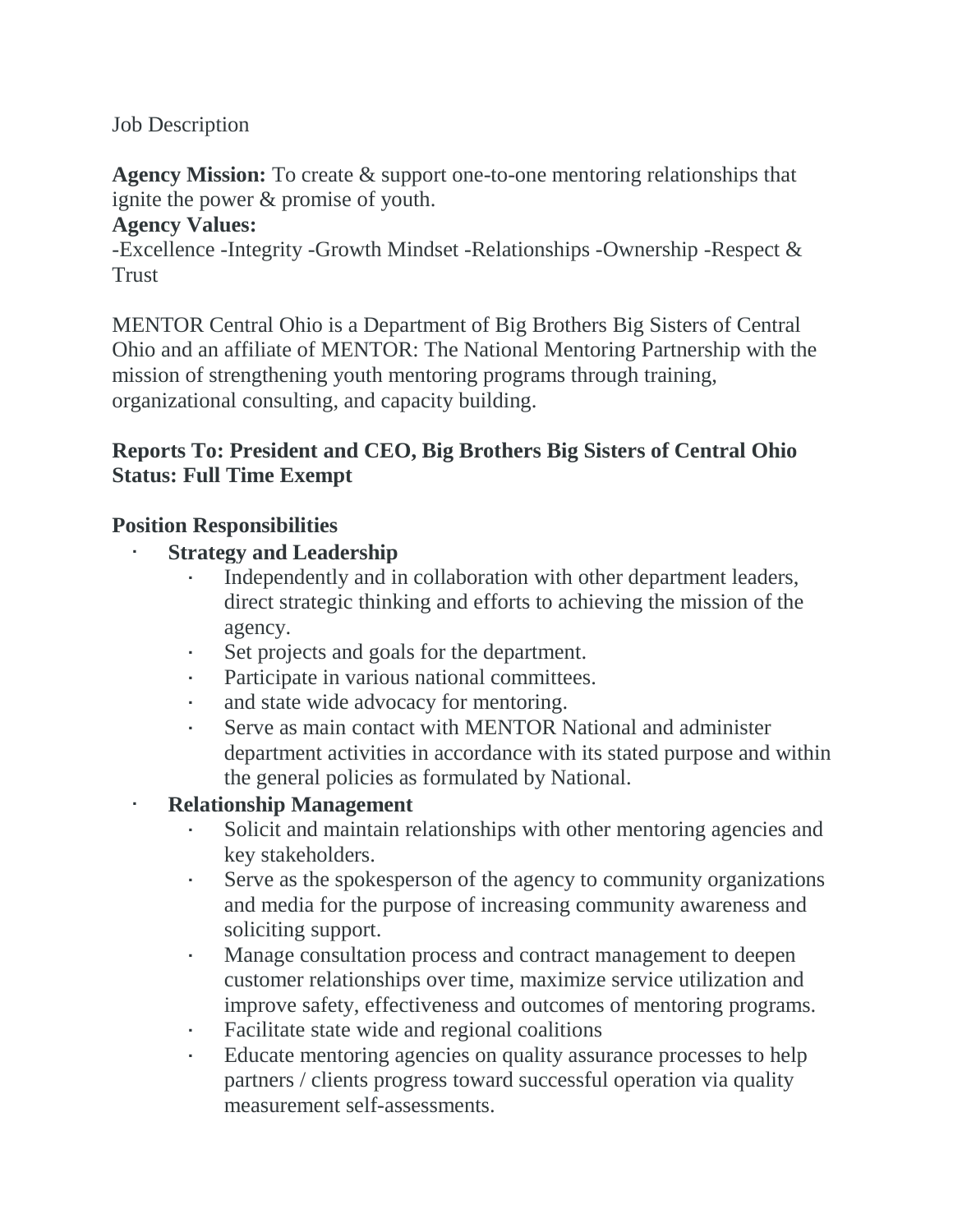Job Description

**Agency Mission:** To create & support one-to-one mentoring relationships that ignite the power & promise of youth.

#### **Agency Values:**

-Excellence -Integrity -Growth Mindset -Relationships -Ownership -Respect & **Trust** 

MENTOR Central Ohio is a Department of Big Brothers Big Sisters of Central Ohio and an affiliate of MENTOR: The National Mentoring Partnership with the mission of strengthening youth mentoring programs through training, organizational consulting, and capacity building.

## **Reports To: President and CEO, Big Brothers Big Sisters of Central Ohio Status: Full Time Exempt**

#### **Position Responsibilities**

- **Strategy and Leadership**
	- Independently and in collaboration with other department leaders, direct strategic thinking and efforts to achieving the mission of the agency.
	- Set projects and goals for the department.
	- Participate in various national committees.
	- and state wide advocacy for mentoring.
	- Serve as main contact with MENTOR National and administer department activities in accordance with its stated purpose and within the general policies as formulated by National.

### • **Relationship Management**

- Solicit and maintain relationships with other mentoring agencies and key stakeholders.
- Serve as the spokesperson of the agency to community organizations and media for the purpose of increasing community awareness and soliciting support.
- Manage consultation process and contract management to deepen customer relationships over time, maximize service utilization and improve safety, effectiveness and outcomes of mentoring programs.
- Facilitate state wide and regional coalitions
- Educate mentoring agencies on quality assurance processes to help partners / clients progress toward successful operation via quality measurement self-assessments.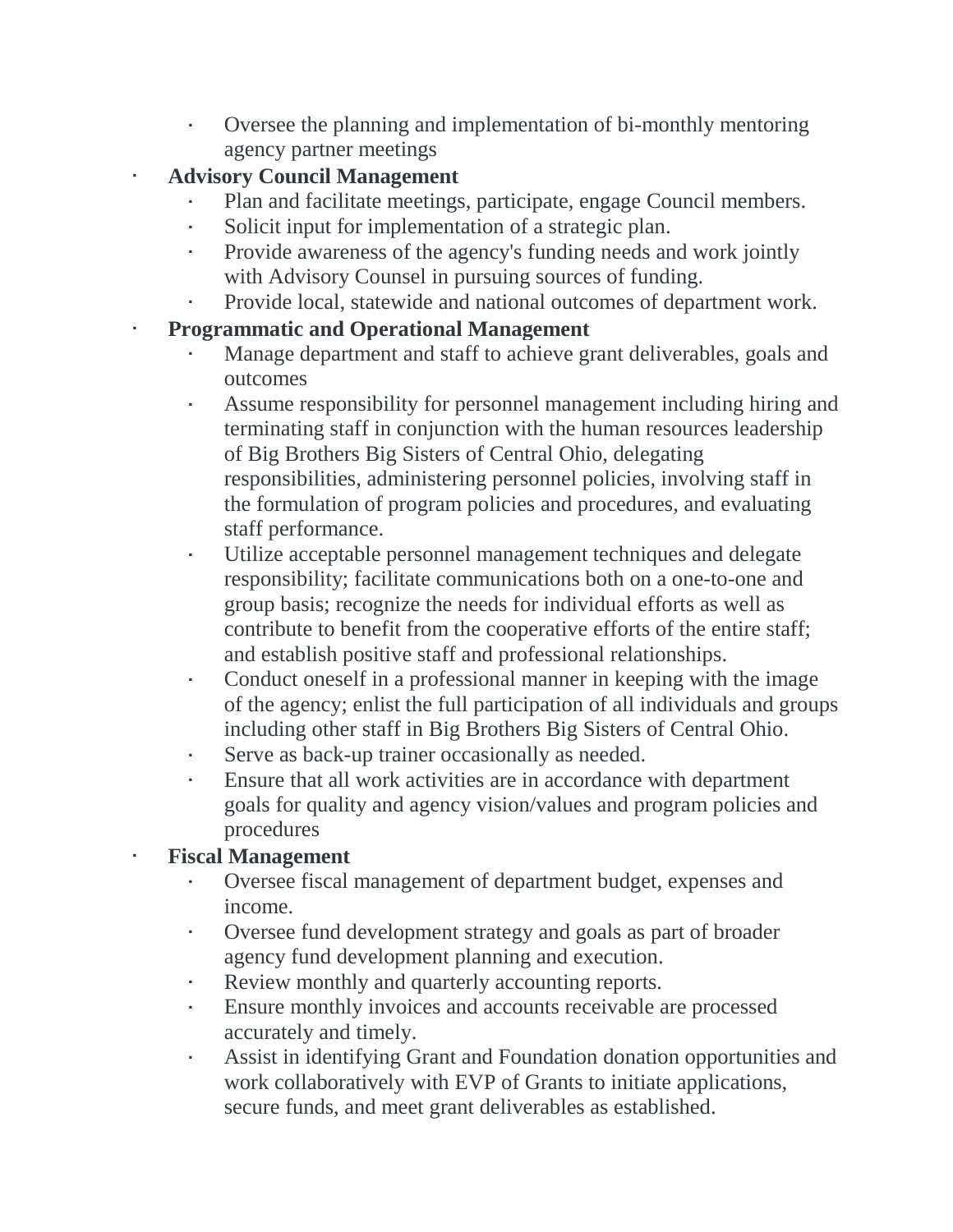- Oversee the planning and implementation of bi-monthly mentoring agency partner meetings
- **Advisory Council Management**
	- Plan and facilitate meetings, participate, engage Council members.
	- Solicit input for implementation of a strategic plan.
	- Provide awareness of the agency's funding needs and work jointly with Advisory Counsel in pursuing sources of funding.
	- Provide local, statewide and national outcomes of department work.

# • **Programmatic and Operational Management**

- Manage department and staff to achieve grant deliverables, goals and outcomes
- Assume responsibility for personnel management including hiring and terminating staff in conjunction with the human resources leadership of Big Brothers Big Sisters of Central Ohio, delegating responsibilities, administering personnel policies, involving staff in the formulation of program policies and procedures, and evaluating staff performance.
- Utilize acceptable personnel management techniques and delegate responsibility; facilitate communications both on a one-to-one and group basis; recognize the needs for individual efforts as well as contribute to benefit from the cooperative efforts of the entire staff; and establish positive staff and professional relationships.
- Conduct oneself in a professional manner in keeping with the image of the agency; enlist the full participation of all individuals and groups including other staff in Big Brothers Big Sisters of Central Ohio.
- Serve as back-up trainer occasionally as needed.
- Ensure that all work activities are in accordance with department goals for quality and agency vision/values and program policies and procedures

# • **Fiscal Management**

- Oversee fiscal management of department budget, expenses and income.
- Oversee fund development strategy and goals as part of broader agency fund development planning and execution.
- Review monthly and quarterly accounting reports.
- Ensure monthly invoices and accounts receivable are processed accurately and timely.
- Assist in identifying Grant and Foundation donation opportunities and work collaboratively with EVP of Grants to initiate applications, secure funds, and meet grant deliverables as established.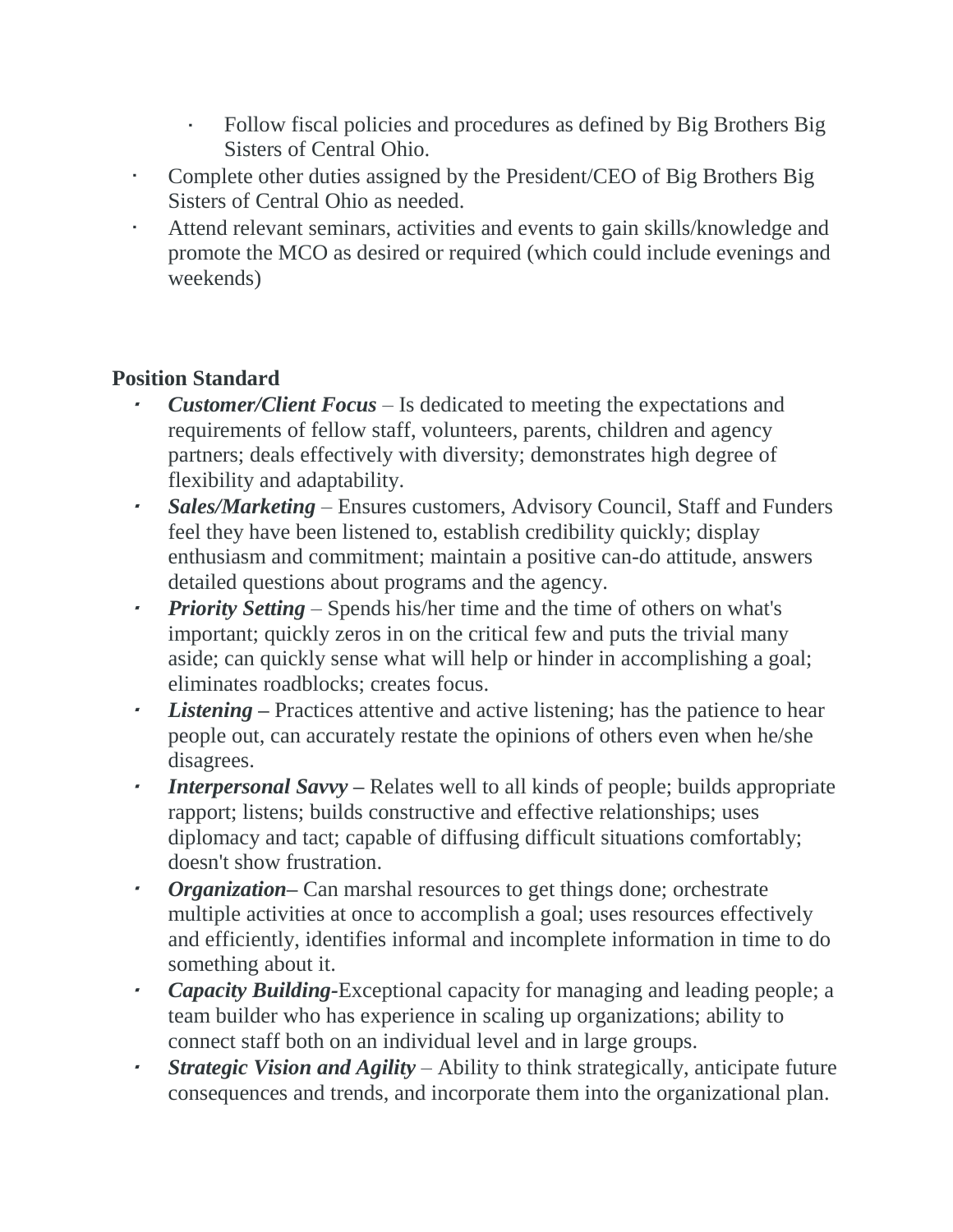- Follow fiscal policies and procedures as defined by Big Brothers Big Sisters of Central Ohio.
- Complete other duties assigned by the President/CEO of Big Brothers Big Sisters of Central Ohio as needed.
- Attend relevant seminars, activities and events to gain skills/knowledge and promote the MCO as desired or required (which could include evenings and weekends)

# **Position Standard**

- *Customer/Client Focus* Is dedicated to meeting the expectations and requirements of fellow staff, volunteers, parents, children and agency partners; deals effectively with diversity; demonstrates high degree of flexibility and adaptability.
- • *Sales/Marketing* – Ensures customers, Advisory Council, Staff and Funders feel they have been listened to, establish credibility quickly; display enthusiasm and commitment; maintain a positive can-do attitude, answers detailed questions about programs and the agency.
- *Priority Setting* Spends his/her time and the time of others on what's important; quickly zeros in on the critical few and puts the trivial many aside; can quickly sense what will help or hinder in accomplishing a goal; eliminates roadblocks; creates focus.
- •*Listening* – Practices attentive and active listening; has the patience to hear people out, can accurately restate the opinions of others even when he/she disagrees.
- • *Interpersonal Savvy* **–** Relates well to all kinds of people; builds appropriate rapport; listens; builds constructive and effective relationships; uses diplomacy and tact; capable of diffusing difficult situations comfortably; doesn't show frustration.
- •*Organization*— Can marshal resources to get things done; orchestrate multiple activities at once to accomplish a goal; uses resources effectively and efficiently, identifies informal and incomplete information in time to do something about it.
- • *Capacity Building-*Exceptional capacity for managing and leading people; a team builder who has experience in scaling up organizations; ability to connect staff both on an individual level and in large groups.
- • *Strategic Vision and Agility* – Ability to think strategically, anticipate future consequences and trends, and incorporate them into the organizational plan.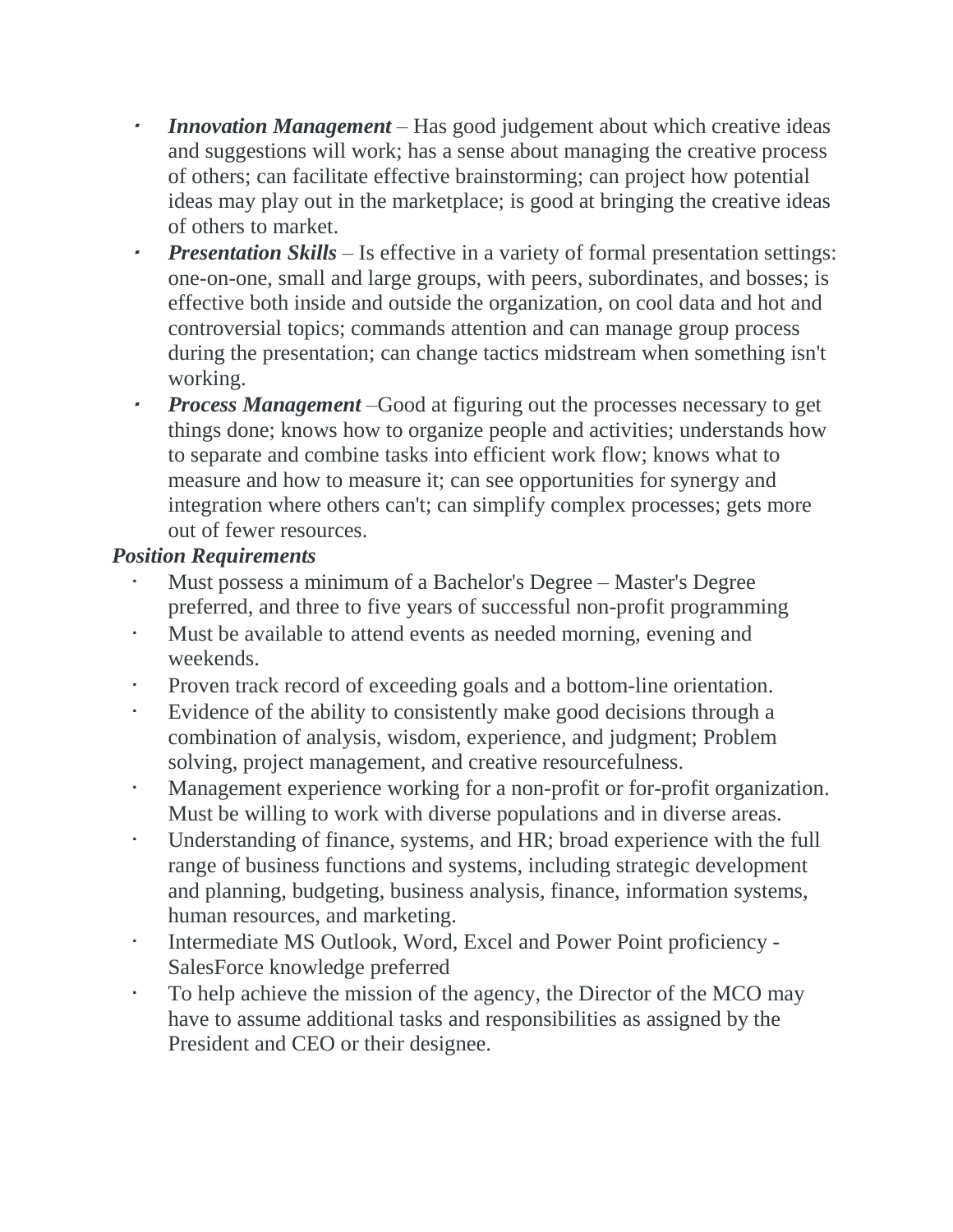- • *Innovation Management* – Has good judgement about which creative ideas and suggestions will work; has a sense about managing the creative process of others; can facilitate effective brainstorming; can project how potential ideas may play out in the marketplace; is good at bringing the creative ideas of others to market.
- •*Presentation Skills* – Is effective in a variety of formal presentation settings: one-on-one, small and large groups, with peers, subordinates, and bosses; is effective both inside and outside the organization, on cool data and hot and controversial topics; commands attention and can manage group process during the presentation; can change tactics midstream when something isn't working.
- • *Process Management* –Good at figuring out the processes necessary to get things done; knows how to organize people and activities; understands how to separate and combine tasks into efficient work flow; knows what to measure and how to measure it; can see opportunities for synergy and integration where others can't; can simplify complex processes; gets more out of fewer resources.

### *Position Requirements*

- Must possess a minimum of a Bachelor's Degree Master's Degree preferred, and three to five years of successful non-profit programming
- Must be available to attend events as needed morning, evening and weekends.
- Proven track record of exceeding goals and a bottom-line orientation.
- Evidence of the ability to consistently make good decisions through a combination of analysis, wisdom, experience, and judgment; Problem solving, project management, and creative resourcefulness.
- Management experience working for a non-profit or for-profit organization. Must be willing to work with diverse populations and in diverse areas.
- Understanding of finance, systems, and HR; broad experience with the full range of business functions and systems, including strategic development and planning, budgeting, business analysis, finance, information systems, human resources, and marketing.
- Intermediate MS Outlook, Word, Excel and Power Point proficiency SalesForce knowledge preferred
- To help achieve the mission of the agency, the Director of the MCO may have to assume additional tasks and responsibilities as assigned by the President and CEO or their designee.